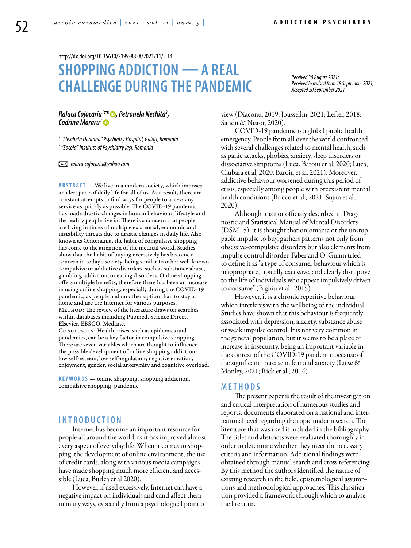<http://dx.doi.org/10.35630/2199-885X/2021/11/5.14>

# **SHOPPING ADDICTION — A REAL CHALLENGE DURING THE PANDEMIC**

*Received 30 August 2021; Received in revised form 18 September 2021; Accepted 20 September 2021*

# *[Raluca Cojocariu1](https://orcid.org/0000-0001-8309-6674) , Petronela Nechita2 , [Codrina Moraru2](https://orcid.org/0000-0001-9471-9953)*

*1 "Elisabeta Doamna" Psychiatry Hospital, Galați, Romania 2 "Socola" Institute of Psychiatry Iași, Romania*

 *raluca.cojocariu@yahoo.com*

**ABSTRACT** — We live in a modern society, which imposes an alert pace of daily life for all of us. As a result, there are constant attempts to find ways for people to access any service as quickly as possible. The COVID-19 pandemic has made drastic changes in human behaviour, lifestyle and the reality people live in. There is a concern that people are living in times of multiple existential, economic and instability threats due to drastic changes in daily life. Also known as Oniomania, the habit of compulsive shopping has come to the attention of the medical world. Studies show that the habit of buying excessively has become a concern in today's society, being similar to other well-known compulsive or addictive disorders, such as substance abuse, gambling addiction, or eating disorders. Online shopping offers multiple benefits, therefore there has been an increase in using online shopping, especially during the COVID-19 pandemic, as people had no other option than to stay at home and use the Internet for various purposes. METHOD: The review of the literature draws on searches within databases including Pubmed, Science Direct, Elsevier, EBSCO, Medline.

Conclusion: Health crises, such as epidemics and pandemics, can be a key factor in compulsive shopping. There are seven variables which are thought to influence the possible development of online shopping addiction: low self-esteem, low self-regulation; negative emotion, enjoyment, gender, social anonymity and cognitive overload.

KEYWORDS — online shopping, shopping addiction, compulsive shopping, pandemic.

## **I N T R O D U C T I O N**

Internet has become an important resource for people all around the world, as it has improved almost every aspect of everyday life. When it comes to shopping, the development of online environment, the use of credit cards, along with various media campaigns have made shopping much more efficient and accessible (Luca, Burlea et al 2020).

However, if used excessively, Internet can have a negative impact on individuals and cand affect them in many ways, especially from a psychological point of view (Diaconu, 2019; Joussellin, 2021; Lefter, 2018; Sandu & Nistor, 2020).

COVID-19 pandemic is a global public health emergency. People from all over the world confronted with several challenges related to mental health, such as panic attacks, phobias, anxiety, sleep disorders or dissociative simptoms (Luca, Baroiu et al, 2020; Luca, Ciubara et al, 2020, Baroiu et al, 2021). Moreover, addictive behaviour worsened during this period of crisis, especially among people with preexistent mental health conditions (Rocco et al., 2021; Sujita et al., 2020).

Although it is not officialy described in Diagnostic and Statistical Manual of Mental Disorders (DSM–5), it is thought that oniomania or the unstoppable impulse to buy, gathers patterns not only from obsessive-compulsive disorders but also elements from impulse control disorder. Faber and O' Guinn tried to define it as "a type of consumer behaviour which is inappropriate, tipically excessive, and clearly disruptive to the life of individuals who appear impulsively driven to consume" (Bighiu et al., 2015).

However, it is a chronic repetitive behaviour which interferes with the wellbeing of the individual. Studies have shown that this behaviour is frequently associated with depression, anxiety, substance abuse or weak impulse control. It is not very common in the general population, but it seems to be a place or increase in insecurity, being an important variable in the context of the COVID-19 pandemic because of the significant increase in fear and anxiety (Liese & Monley, 2021; Rick et al., 2014).

#### **M E T H O D S**

The present paper is the result of the investigation and critical interpretation of numerous studies and reports, documents elaborated on a national and international level regarding the topic under research. The literature that was used is included in the bibliography. The titles and abstracts were evaluated thoroughly in order to determine whether they meet the necessary criteria and information. Additional findings were obtained through manual search and cross referencing. By this method the authors identified the nature of existing research in the field, epistemological assumptions and methodological approaches. This classification provided a framework through which to analyse the literature.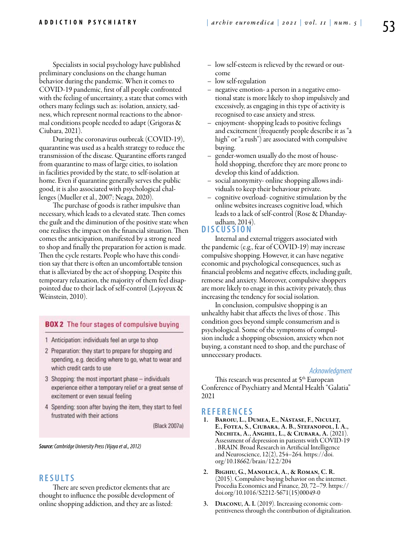Specialists in social psychology have published preliminary conclusions on the change human behavior during the pandemic. When it comes to COVID-19 pandemic, first of all people confronted with the feeling of uncertainty, a state that comes with others many feelings such as: isolation, anxiety, sadness, which represent normal reactions to the abnormal conditions people needed to adapt (Grigoras & Ciubara, 2021).

During the coronavirus outbreak (COVID-19), quarantine was used as a health strategy to reduce the transmission of the disease. Quarantine efforts ranged from quarantine to mass of large cities, to isolation in facilities provided by the state, to self-isolation at home. Even if quarantine generally serves the public good, it is also associated with psychological challenges (Mueller et al., 2007; Neaga, 2020).

The purchase of goods is rather impulsive than necessary, which leads to a elevated state. Then comes the guilt and the diminution of the positive state when one realises the impact on the financial situation. Then comes the anticipation, manifested by a strong need to shop and finally the preparation for action is made. Then the cycle restarts. People who have this condition say that there is often an uncomfortable tension that is alleviated by the act of shopping. Despite this temporary relaxation, the majority of them feel disappointed due to their lack of self-control (Lejoyeux & Weinstein, 2010).

#### **BOX 2** The four stages of compulsive buying

- 1 Anticipation: individuals feel an urge to shop
- 2 Preparation: they start to prepare for shopping and spending, e.g. deciding where to go, what to wear and which credit cards to use
- 3 Shopping: the most important phase individuals experience either a temporary relief or a great sense of excitement or even sexual feeling
- 4 Spending: soon after buying the item, they start to feel frustrated with their actions

(Black 2007a)

*Source: Cambridge University Press (Vijaya et al., 2012)*

### **RES U LTS**

There are seven predictor elements that are thought to influence the possible development of online shopping addiction, and they are as listed:

- low self-esteem is relieved by the reward or outcome
- low self-regulation
- negative emotion- a person in a negative emotional state is more likely to shop impulsively and excessively, as engaging in this type of activity is recognised to ease anxiety and stress.
- enjoyment- shopping leads to positive feelings and excitement (frequently people describe it as "a high" or "a rush") are associated with compulsive buying.
- gender-women usually do the most of household shopping, therefore they are more prone to develop this kind of addiction.
- social anonymity- online shopping allows individuals to keep their behaviour private.
- cognitive overload- cognitive stimulation by the online websites increases cognitive load, which leads to a lack of self-control (Rose & Dhandayudham, 2014).

## **DISC U SSION**

Internal and external triggers associated with the pandemic (e.g., fear of COVID-19) may increase compulsive shopping. However, it can have negative economic and psychological consequences, such as financial problems and negative effects, including guilt, remorse and anxiety. Moreover, compulsive shoppers are more likely to enage in this activity privately, thus increasing the tendency for social isolation.

In conclusion, compulsive shopping is an unhealthy habit that affects the lives of those . This condition goes beyond simple consumerism and is psychological. Some of the symptoms of compulsion include a shopping obsession, anxiety when not buying, a constant need to shop, and the purchase of unnecessary products.

#### *Acknowledgment*

This research was presented at 5<sup>th</sup> European Conference of Psychiatry and Mental Health "Galatia" 2021

### **REFEREN CES**

- 1. Baroiu, L., Dumea, E., Năstase, F., Niculeț, E., Fotea, S., Ciubara, A. B., Stefanopol, I. A., Nechita, A., Anghel, L., & Ciubara, A. (2021). Assessment of depression in patients with COVID-19 . BRAIN. Broad Research in Artificial Intelligence and Neuroscience, 12(2), 254–264. https://doi. org/10.18662/brain/12.2/204
- 2. Bighiu, G., Manolică, A., & Roman, C. R. (2015). Compulsive buying behavior on the internet. Procedia Economics and Finance, 20, 72–79. https:// doi.org/10.1016/S2212-5671(15)00049-0
- 3. Diaconu, A. I. (2019). Increasing economic competitiveness through the contribution of digitalization.